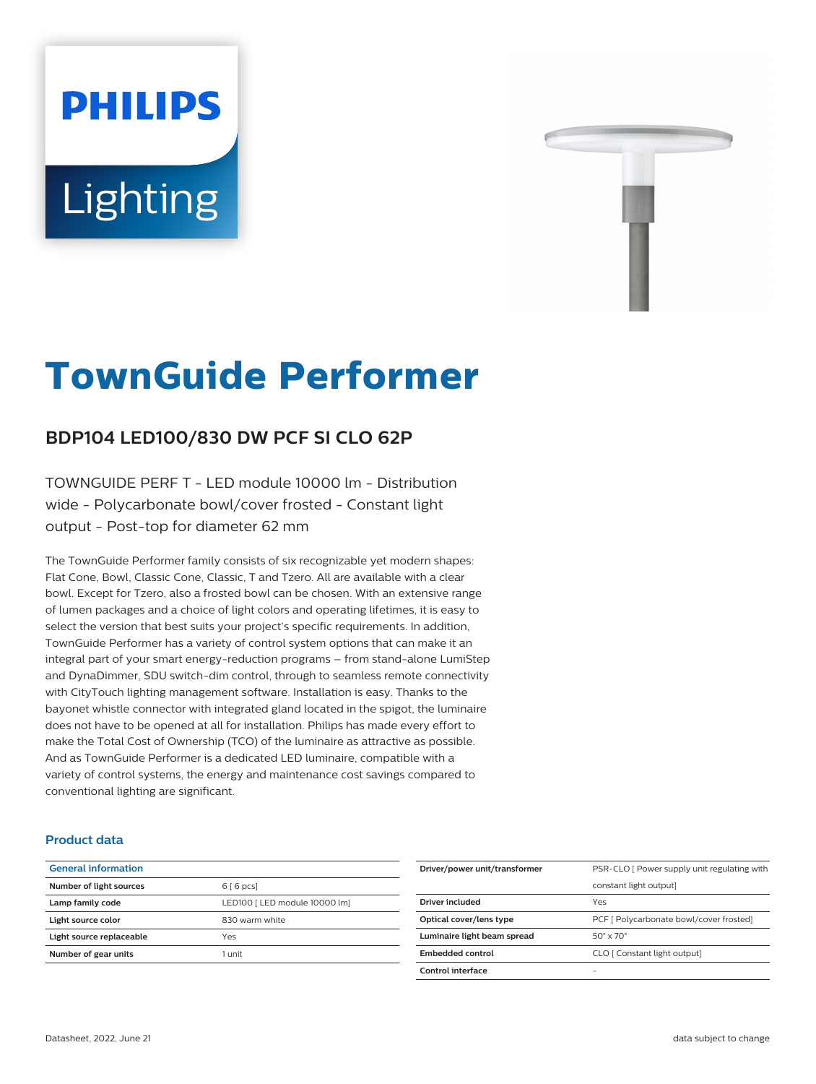# **PHILIPS** Lighting



# **TownGuide Performer**

# **BDP104 LED100/830 DW PCF SI CLO 62P**

TOWNGUIDE PERF T - LED module 10000 lm - Distribution wide - Polycarbonate bowl/cover frosted - Constant light output - Post-top for diameter 62 mm

The TownGuide Performer family consists of six recognizable yet modern shapes: Flat Cone, Bowl, Classic Cone, Classic, T and Tzero. All are available with a clear bowl. Except for Tzero, also a frosted bowl can be chosen. With an extensive range of lumen packages and a choice of light colors and operating lifetimes, it is easy to select the version that best suits your project's specific requirements. In addition, TownGuide Performer has a variety of control system options that can make it an integral part of your smart energy-reduction programs – from stand-alone LumiStep and DynaDimmer, SDU switch-dim control, through to seamless remote connectivity with CityTouch lighting management software. Installation is easy. Thanks to the bayonet whistle connector with integrated gland located in the spigot, the luminaire does not have to be opened at all for installation. Philips has made every effort to make the Total Cost of Ownership (TCO) of the luminaire as attractive as possible. And as TownGuide Performer is a dedicated LED luminaire, compatible with a variety of control systems, the energy and maintenance cost savings compared to conventional lighting are significant.

#### **Product data**

| <b>General information</b> |                               |
|----------------------------|-------------------------------|
| Number of light sources    | 6[6 pcs]                      |
| Lamp family code           | LED100   LED module 10000 lm] |
| Light source color         | 830 warm white                |
| Light source replaceable   | Yes                           |
| Number of gear units       | 1 unit                        |
|                            |                               |

| Driver/power unit/transformer | PSR-CLO [ Power supply unit regulating with |
|-------------------------------|---------------------------------------------|
|                               | constant light output]                      |
| Driver included               | Yes                                         |
| Optical cover/lens type       | PCF [ Polycarbonate bowl/cover frosted]     |
| Luminaire light beam spread   | $50^\circ \times 70^\circ$                  |
| Embedded control              | CLO [ Constant light output]                |
| Control interface             |                                             |
|                               |                                             |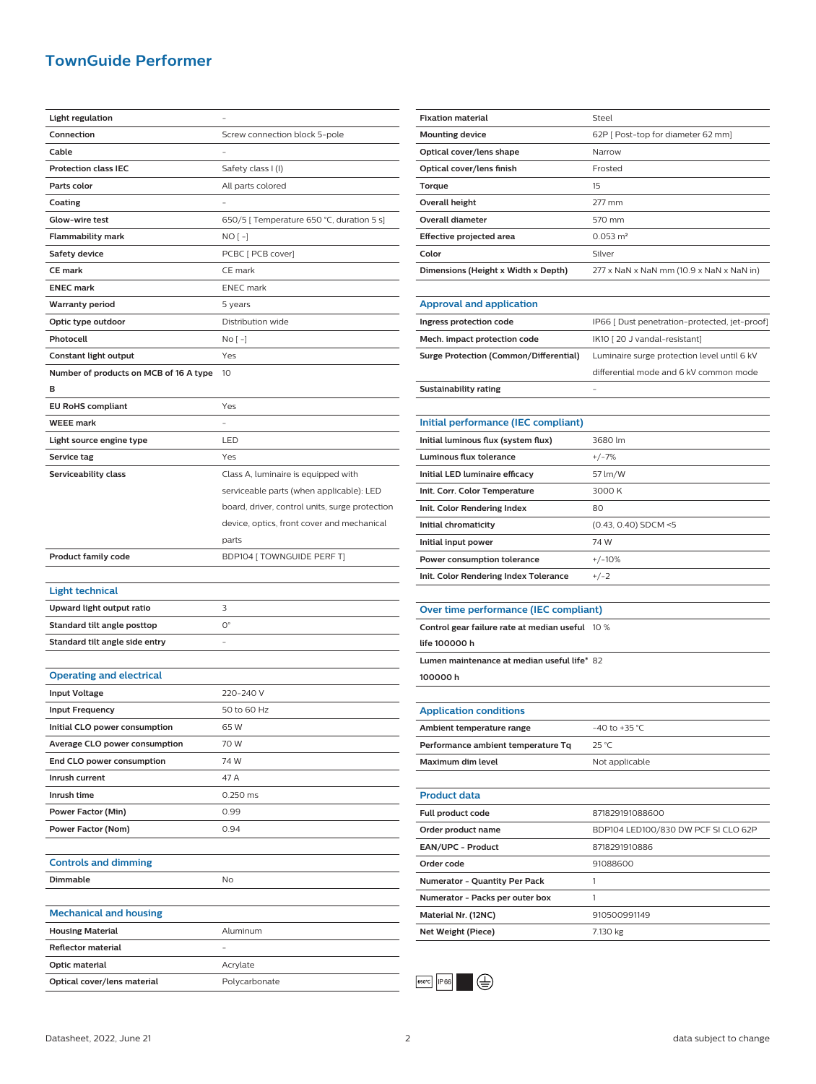## **TownGuide Performer**

| Light regulation                       |                                                |
|----------------------------------------|------------------------------------------------|
| Connection                             | Screw connection block 5-pole                  |
| Cable                                  |                                                |
|                                        |                                                |
| <b>Protection class IEC</b>            | Safety class I (I)                             |
| Parts color                            | All parts colored                              |
| Coating                                |                                                |
| Glow-wire test                         | 650/5 [ Temperature 650 °C, duration 5 s]      |
| <b>Flammability mark</b>               | NO [ -]                                        |
| Safety device                          | PCBC [ PCB cover]                              |
| <b>CE mark</b>                         | CE mark                                        |
| <b>ENEC mark</b>                       | <b>ENEC</b> mark                               |
| <b>Warranty period</b>                 | 5 years                                        |
| Optic type outdoor                     | Distribution wide                              |
| Photocell                              | No [ -]                                        |
| Constant light output                  | Yes                                            |
| Number of products on MCB of 16 A type | 10                                             |
| в                                      |                                                |
| <b>EU RoHS compliant</b>               | Yes                                            |
| <b>WEEE</b> mark                       |                                                |
|                                        |                                                |
| Light source engine type               | LED                                            |
| Service tag                            | Yes                                            |
| Serviceability class                   | Class A, luminaire is equipped with            |
|                                        | serviceable parts (when applicable): LED       |
|                                        | board, driver, control units, surge protection |
|                                        | device, optics, front cover and mechanical     |
|                                        | parts                                          |
|                                        |                                                |
| <b>Product family code</b>             | BDP104 [ TOWNGUIDE PERF T]                     |
|                                        |                                                |
| <b>Light technical</b>                 |                                                |
| Upward light output ratio              | 3                                              |
| Standard tilt angle posttop            | $O^{\circ}$                                    |
| Standard tilt angle side entry         |                                                |
|                                        |                                                |
| <b>Operating and electrical</b>        |                                                |
|                                        | 220-240 V                                      |
| <b>Input Voltage</b>                   |                                                |
| <b>Input Frequency</b>                 | 50 to 60 Hz                                    |
| Initial CLO power consumption          | 65W                                            |
| Average CLO power consumption          | 70 W                                           |
| End CLO power consumption              | 74 W                                           |
| Inrush current                         | 47 A                                           |
| Inrush time                            | 0.250 ms                                       |
| Power Factor (Min)                     | 0.99                                           |
| Power Factor (Nom)                     | 0.94                                           |
|                                        |                                                |
| <b>Controls and dimming</b>            |                                                |
| Dimmable                               | No                                             |
|                                        |                                                |
| <b>Mechanical and housing</b>          |                                                |
| <b>Housing Material</b>                | Aluminum                                       |
| <b>Reflector material</b>              |                                                |
| Optic material                         | Acrylate                                       |

| <b>Fixation material</b>                        | Steel                                         |
|-------------------------------------------------|-----------------------------------------------|
| <b>Mounting device</b>                          | 62P [ Post-top for diameter 62 mm]            |
| Optical cover/lens shape                        | Narrow                                        |
| Optical cover/lens finish                       | Frosted                                       |
| Torque                                          | 15                                            |
| <b>Overall height</b>                           | 277 mm                                        |
| <b>Overall diameter</b>                         | 570 mm                                        |
| Effective projected area                        | $0.053 \text{ m}^2$                           |
| Color                                           | Silver                                        |
| Dimensions (Height x Width x Depth)             | 277 x NaN x NaN mm (10.9 x NaN x NaN in)      |
|                                                 |                                               |
| <b>Approval and application</b>                 |                                               |
| Ingress protection code                         | IP66 [ Dust penetration-protected, jet-proof] |
| Mech. impact protection code                    | IK10 [20 J vandal-resistant]                  |
| <b>Surge Protection (Common/Differential)</b>   | Luminaire surge protection level until 6 kV   |
|                                                 | differential mode and 6 kV common mode        |
| <b>Sustainability rating</b>                    |                                               |
|                                                 |                                               |
| Initial performance (IEC compliant)             |                                               |
| Initial luminous flux (system flux)             | 3680 lm                                       |
| Luminous flux tolerance                         | $+/-7%$                                       |
| Initial LED luminaire efficacy                  | 57 lm/W                                       |
| Init. Corr. Color Temperature                   | 3000 K                                        |
| Init. Color Rendering Index                     | 80                                            |
| Initial chromaticity                            | (0.43, 0.40) SDCM <5                          |
|                                                 |                                               |
| Initial input power                             | 74 W                                          |
| Power consumption tolerance                     | $+/-10%$                                      |
| Init. Color Rendering Index Tolerance           | $+/-2$                                        |
|                                                 |                                               |
| Over time performance (IEC compliant)           |                                               |
| Control gear failure rate at median useful 10 % |                                               |
| life 100000 h                                   |                                               |
| Lumen maintenance at median useful life* 82     |                                               |
| 100000h                                         |                                               |
|                                                 |                                               |
| <b>Application conditions</b>                   |                                               |
| Ambient temperature range                       | -40 to +35 $^{\circ}$ C                       |
| Performance ambient temperature Tq              | 25 °C                                         |
| Maximum dim level                               | Not applicable                                |
|                                                 |                                               |
| <b>Product data</b>                             |                                               |
| Full product code                               | 871829191088600                               |
| Order product name                              | BDP104 LED100/830 DW PCF SI CLO 62P           |
| EAN/UPC - Product                               | 8718291910886                                 |
| Order code                                      | 91088600                                      |
| Numerator - Quantity Per Pack                   | 1                                             |
| Numerator - Packs per outer box                 | 1                                             |
| Material Nr. (12NC)                             | 910500991149                                  |
| <b>Net Weight (Piece)</b>                       | 7.130 kg                                      |